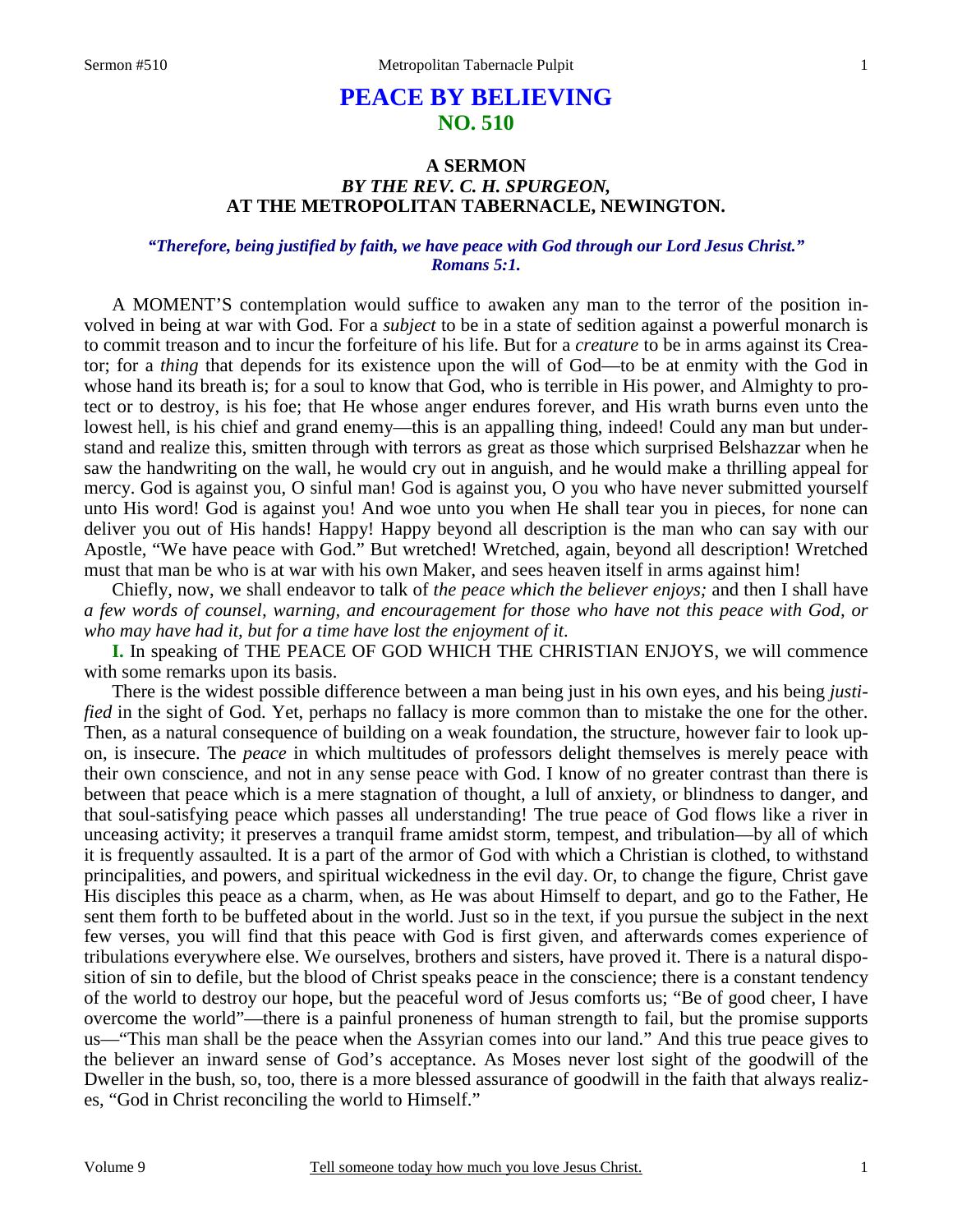# **PEACE BY BELIEVING NO. 510**

## **A SERMON**  *BY THE REV. C. H. SPURGEON,*  **AT THE METROPOLITAN TABERNACLE, NEWINGTON.**

### *"Therefore, being justified by faith, we have peace with God through our Lord Jesus Christ." Romans 5:1.*

A MOMENT'S contemplation would suffice to awaken any man to the terror of the position involved in being at war with God. For a *subject* to be in a state of sedition against a powerful monarch is to commit treason and to incur the forfeiture of his life. But for a *creature* to be in arms against its Creator; for a *thing* that depends for its existence upon the will of God—to be at enmity with the God in whose hand its breath is; for a soul to know that God, who is terrible in His power, and Almighty to protect or to destroy, is his foe; that He whose anger endures forever, and His wrath burns even unto the lowest hell, is his chief and grand enemy—this is an appalling thing, indeed! Could any man but understand and realize this, smitten through with terrors as great as those which surprised Belshazzar when he saw the handwriting on the wall, he would cry out in anguish, and he would make a thrilling appeal for mercy. God is against you, O sinful man! God is against you, O you who have never submitted yourself unto His word! God is against you! And woe unto you when He shall tear you in pieces, for none can deliver you out of His hands! Happy! Happy beyond all description is the man who can say with our Apostle, "We have peace with God." But wretched! Wretched, again, beyond all description! Wretched must that man be who is at war with his own Maker, and sees heaven itself in arms against him!

Chiefly, now, we shall endeavor to talk of *the peace which the believer enjoys;* and then I shall have *a few words of counsel, warning, and encouragement for those who have not this peace with God, or who may have had it, but for a time have lost the enjoyment of it*.

**I.** In speaking of THE PEACE OF GOD WHICH THE CHRISTIAN ENJOYS, we will commence with some remarks upon its basis.

There is the widest possible difference between a man being just in his own eyes, and his being *justified* in the sight of God. Yet, perhaps no fallacy is more common than to mistake the one for the other. Then, as a natural consequence of building on a weak foundation, the structure, however fair to look upon, is insecure. The *peace* in which multitudes of professors delight themselves is merely peace with their own conscience, and not in any sense peace with God. I know of no greater contrast than there is between that peace which is a mere stagnation of thought, a lull of anxiety, or blindness to danger, and that soul-satisfying peace which passes all understanding! The true peace of God flows like a river in unceasing activity; it preserves a tranquil frame amidst storm, tempest, and tribulation—by all of which it is frequently assaulted. It is a part of the armor of God with which a Christian is clothed, to withstand principalities, and powers, and spiritual wickedness in the evil day. Or, to change the figure, Christ gave His disciples this peace as a charm, when, as He was about Himself to depart, and go to the Father, He sent them forth to be buffeted about in the world. Just so in the text, if you pursue the subject in the next few verses, you will find that this peace with God is first given, and afterwards comes experience of tribulations everywhere else. We ourselves, brothers and sisters, have proved it. There is a natural disposition of sin to defile, but the blood of Christ speaks peace in the conscience; there is a constant tendency of the world to destroy our hope, but the peaceful word of Jesus comforts us; "Be of good cheer, I have overcome the world"—there is a painful proneness of human strength to fail, but the promise supports us—"This man shall be the peace when the Assyrian comes into our land." And this true peace gives to the believer an inward sense of God's acceptance. As Moses never lost sight of the goodwill of the Dweller in the bush, so, too, there is a more blessed assurance of goodwill in the faith that always realizes, "God in Christ reconciling the world to Himself."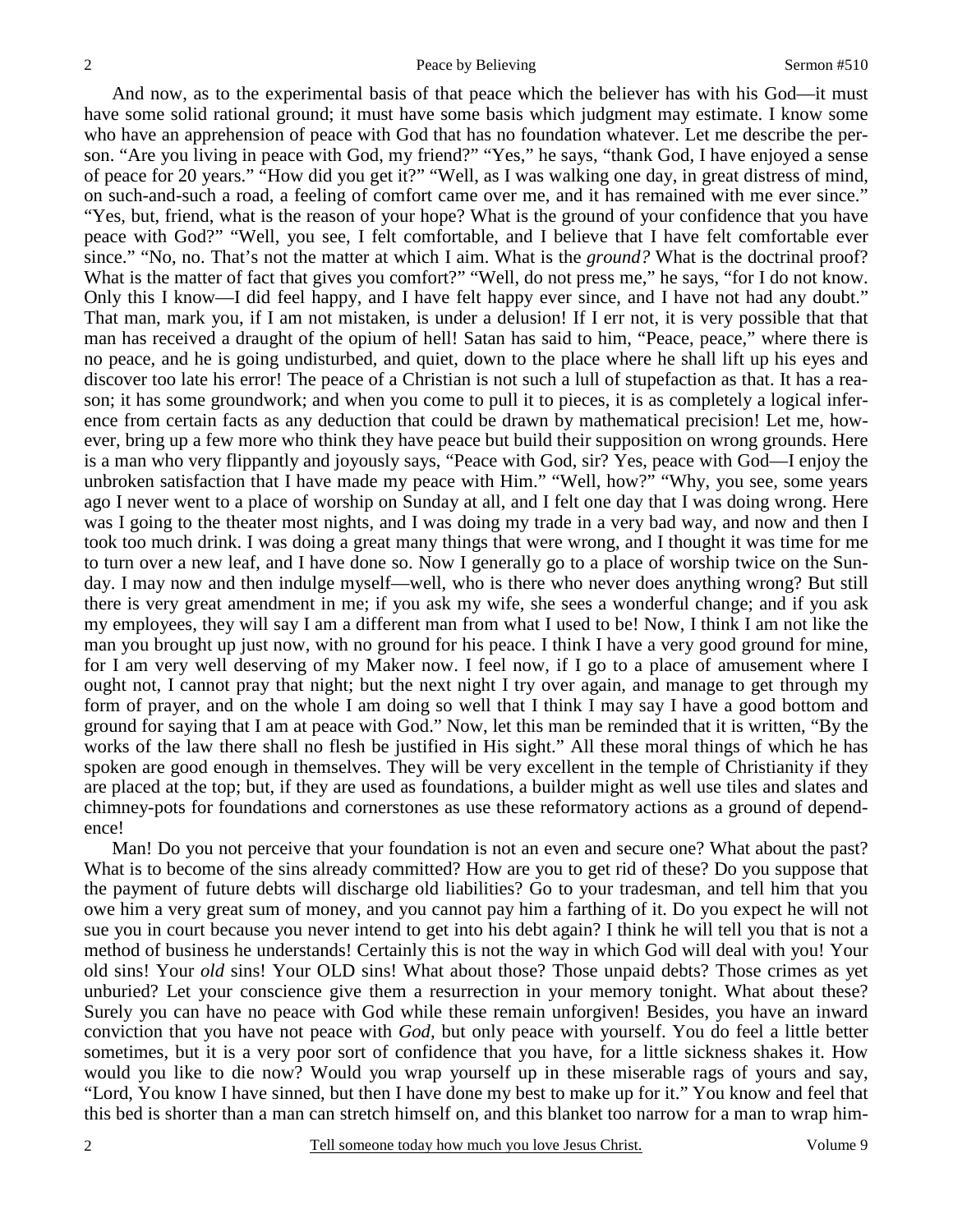And now, as to the experimental basis of that peace which the believer has with his God—it must have some solid rational ground; it must have some basis which judgment may estimate. I know some who have an apprehension of peace with God that has no foundation whatever. Let me describe the person. "Are you living in peace with God, my friend?" "Yes," he says, "thank God, I have enjoyed a sense of peace for 20 years." "How did you get it?" "Well, as I was walking one day, in great distress of mind, on such-and-such a road, a feeling of comfort came over me, and it has remained with me ever since." "Yes, but, friend, what is the reason of your hope? What is the ground of your confidence that you have peace with God?" "Well, you see, I felt comfortable, and I believe that I have felt comfortable ever since." "No, no. That's not the matter at which I aim. What is the *ground?* What is the doctrinal proof? What is the matter of fact that gives you comfort?" "Well, do not press me," he says, "for I do not know. Only this I know—I did feel happy, and I have felt happy ever since, and I have not had any doubt." That man, mark you, if I am not mistaken, is under a delusion! If I err not, it is very possible that that man has received a draught of the opium of hell! Satan has said to him, "Peace, peace," where there is no peace, and he is going undisturbed, and quiet, down to the place where he shall lift up his eyes and discover too late his error! The peace of a Christian is not such a lull of stupefaction as that. It has a reason; it has some groundwork; and when you come to pull it to pieces, it is as completely a logical inference from certain facts as any deduction that could be drawn by mathematical precision! Let me, however, bring up a few more who think they have peace but build their supposition on wrong grounds. Here is a man who very flippantly and joyously says, "Peace with God, sir? Yes, peace with God—I enjoy the unbroken satisfaction that I have made my peace with Him." "Well, how?" "Why, you see, some years ago I never went to a place of worship on Sunday at all, and I felt one day that I was doing wrong. Here was I going to the theater most nights, and I was doing my trade in a very bad way, and now and then I took too much drink. I was doing a great many things that were wrong, and I thought it was time for me to turn over a new leaf, and I have done so. Now I generally go to a place of worship twice on the Sunday. I may now and then indulge myself—well, who is there who never does anything wrong? But still there is very great amendment in me; if you ask my wife, she sees a wonderful change; and if you ask my employees, they will say I am a different man from what I used to be! Now, I think I am not like the man you brought up just now, with no ground for his peace. I think I have a very good ground for mine, for I am very well deserving of my Maker now. I feel now, if I go to a place of amusement where I ought not, I cannot pray that night; but the next night I try over again, and manage to get through my form of prayer, and on the whole I am doing so well that I think I may say I have a good bottom and ground for saying that I am at peace with God." Now, let this man be reminded that it is written, "By the works of the law there shall no flesh be justified in His sight." All these moral things of which he has spoken are good enough in themselves. They will be very excellent in the temple of Christianity if they are placed at the top; but, if they are used as foundations, a builder might as well use tiles and slates and chimney-pots for foundations and cornerstones as use these reformatory actions as a ground of dependence!

Man! Do you not perceive that your foundation is not an even and secure one? What about the past? What is to become of the sins already committed? How are you to get rid of these? Do you suppose that the payment of future debts will discharge old liabilities? Go to your tradesman, and tell him that you owe him a very great sum of money, and you cannot pay him a farthing of it. Do you expect he will not sue you in court because you never intend to get into his debt again? I think he will tell you that is not a method of business he understands! Certainly this is not the way in which God will deal with you! Your old sins! Your *old* sins! Your OLD sins! What about those? Those unpaid debts? Those crimes as yet unburied? Let your conscience give them a resurrection in your memory tonight. What about these? Surely you can have no peace with God while these remain unforgiven! Besides, you have an inward conviction that you have not peace with *God,* but only peace with yourself. You do feel a little better sometimes, but it is a very poor sort of confidence that you have, for a little sickness shakes it. How would you like to die now? Would you wrap yourself up in these miserable rags of yours and say, "Lord, You know I have sinned, but then I have done my best to make up for it." You know and feel that this bed is shorter than a man can stretch himself on, and this blanket too narrow for a man to wrap him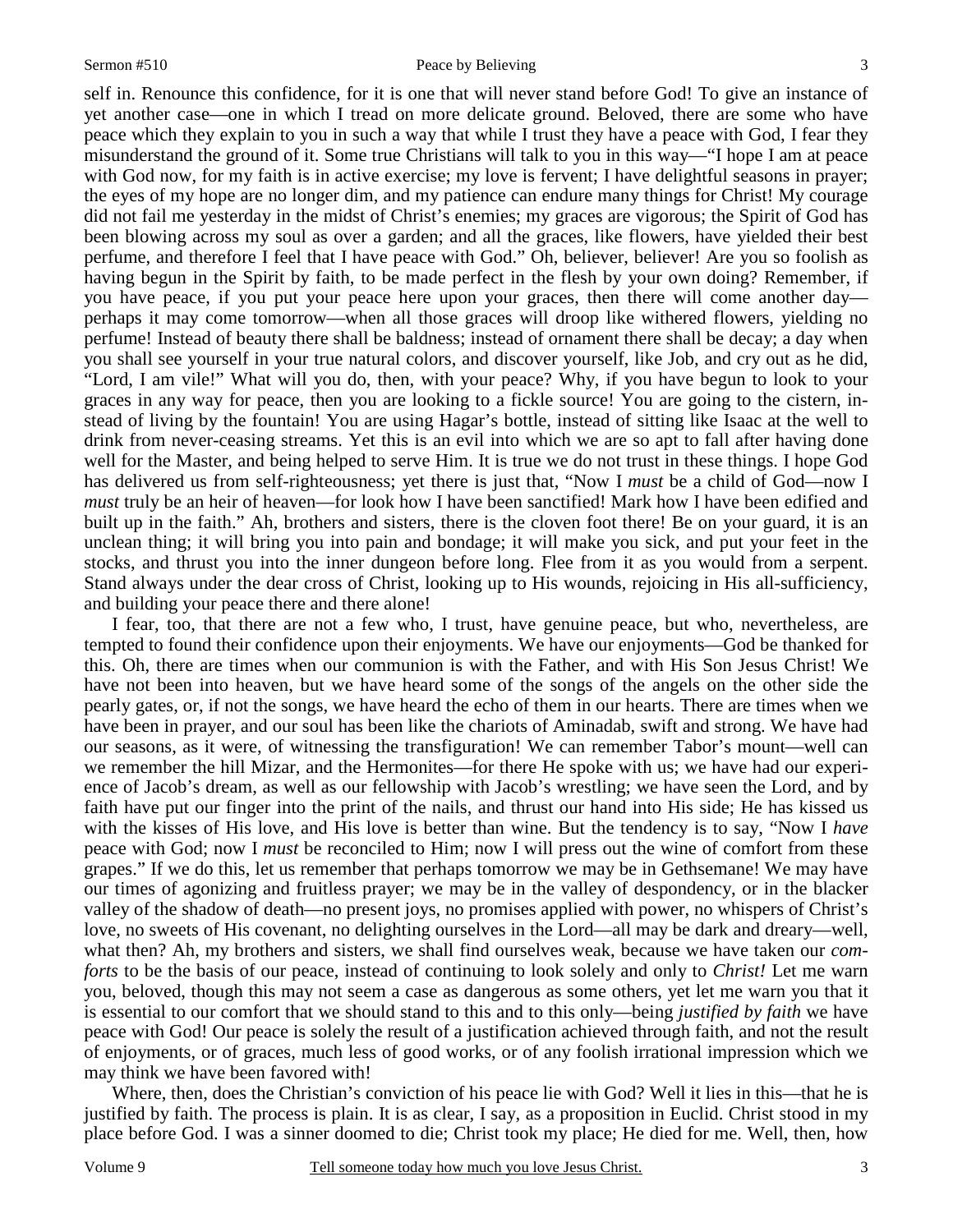self in. Renounce this confidence, for it is one that will never stand before God! To give an instance of yet another case—one in which I tread on more delicate ground. Beloved, there are some who have peace which they explain to you in such a way that while I trust they have a peace with God, I fear they misunderstand the ground of it. Some true Christians will talk to you in this way—"I hope I am at peace with God now, for my faith is in active exercise; my love is fervent; I have delightful seasons in prayer; the eyes of my hope are no longer dim, and my patience can endure many things for Christ! My courage did not fail me yesterday in the midst of Christ's enemies; my graces are vigorous; the Spirit of God has been blowing across my soul as over a garden; and all the graces, like flowers, have yielded their best perfume, and therefore I feel that I have peace with God." Oh, believer, believer! Are you so foolish as having begun in the Spirit by faith, to be made perfect in the flesh by your own doing? Remember, if you have peace, if you put your peace here upon your graces, then there will come another day perhaps it may come tomorrow—when all those graces will droop like withered flowers, yielding no perfume! Instead of beauty there shall be baldness; instead of ornament there shall be decay; a day when you shall see yourself in your true natural colors, and discover yourself, like Job, and cry out as he did, "Lord, I am vile!" What will you do, then, with your peace? Why, if you have begun to look to your graces in any way for peace, then you are looking to a fickle source! You are going to the cistern, instead of living by the fountain! You are using Hagar's bottle, instead of sitting like Isaac at the well to drink from never-ceasing streams. Yet this is an evil into which we are so apt to fall after having done well for the Master, and being helped to serve Him. It is true we do not trust in these things. I hope God has delivered us from self-righteousness; yet there is just that, "Now I *must* be a child of God—now I *must* truly be an heir of heaven—for look how I have been sanctified! Mark how I have been edified and built up in the faith." Ah, brothers and sisters, there is the cloven foot there! Be on your guard, it is an unclean thing; it will bring you into pain and bondage; it will make you sick, and put your feet in the stocks, and thrust you into the inner dungeon before long. Flee from it as you would from a serpent. Stand always under the dear cross of Christ, looking up to His wounds, rejoicing in His all-sufficiency, and building your peace there and there alone!

I fear, too, that there are not a few who, I trust, have genuine peace, but who, nevertheless, are tempted to found their confidence upon their enjoyments. We have our enjoyments—God be thanked for this. Oh, there are times when our communion is with the Father, and with His Son Jesus Christ! We have not been into heaven, but we have heard some of the songs of the angels on the other side the pearly gates, or, if not the songs, we have heard the echo of them in our hearts. There are times when we have been in prayer, and our soul has been like the chariots of Aminadab, swift and strong. We have had our seasons, as it were, of witnessing the transfiguration! We can remember Tabor's mount—well can we remember the hill Mizar, and the Hermonites—for there He spoke with us; we have had our experience of Jacob's dream, as well as our fellowship with Jacob's wrestling; we have seen the Lord, and by faith have put our finger into the print of the nails, and thrust our hand into His side; He has kissed us with the kisses of His love, and His love is better than wine. But the tendency is to say, "Now I *have*  peace with God; now I *must* be reconciled to Him; now I will press out the wine of comfort from these grapes." If we do this, let us remember that perhaps tomorrow we may be in Gethsemane! We may have our times of agonizing and fruitless prayer; we may be in the valley of despondency, or in the blacker valley of the shadow of death—no present joys, no promises applied with power, no whispers of Christ's love, no sweets of His covenant, no delighting ourselves in the Lord—all may be dark and dreary—well, what then? Ah, my brothers and sisters, we shall find ourselves weak, because we have taken our *comforts* to be the basis of our peace, instead of continuing to look solely and only to *Christ!* Let me warn you, beloved, though this may not seem a case as dangerous as some others, yet let me warn you that it is essential to our comfort that we should stand to this and to this only—being *justified by faith* we have peace with God! Our peace is solely the result of a justification achieved through faith, and not the result of enjoyments, or of graces, much less of good works, or of any foolish irrational impression which we may think we have been favored with!

Where, then, does the Christian's conviction of his peace lie with God? Well it lies in this—that he is justified by faith. The process is plain. It is as clear, I say, as a proposition in Euclid. Christ stood in my place before God. I was a sinner doomed to die; Christ took my place; He died for me. Well, then, how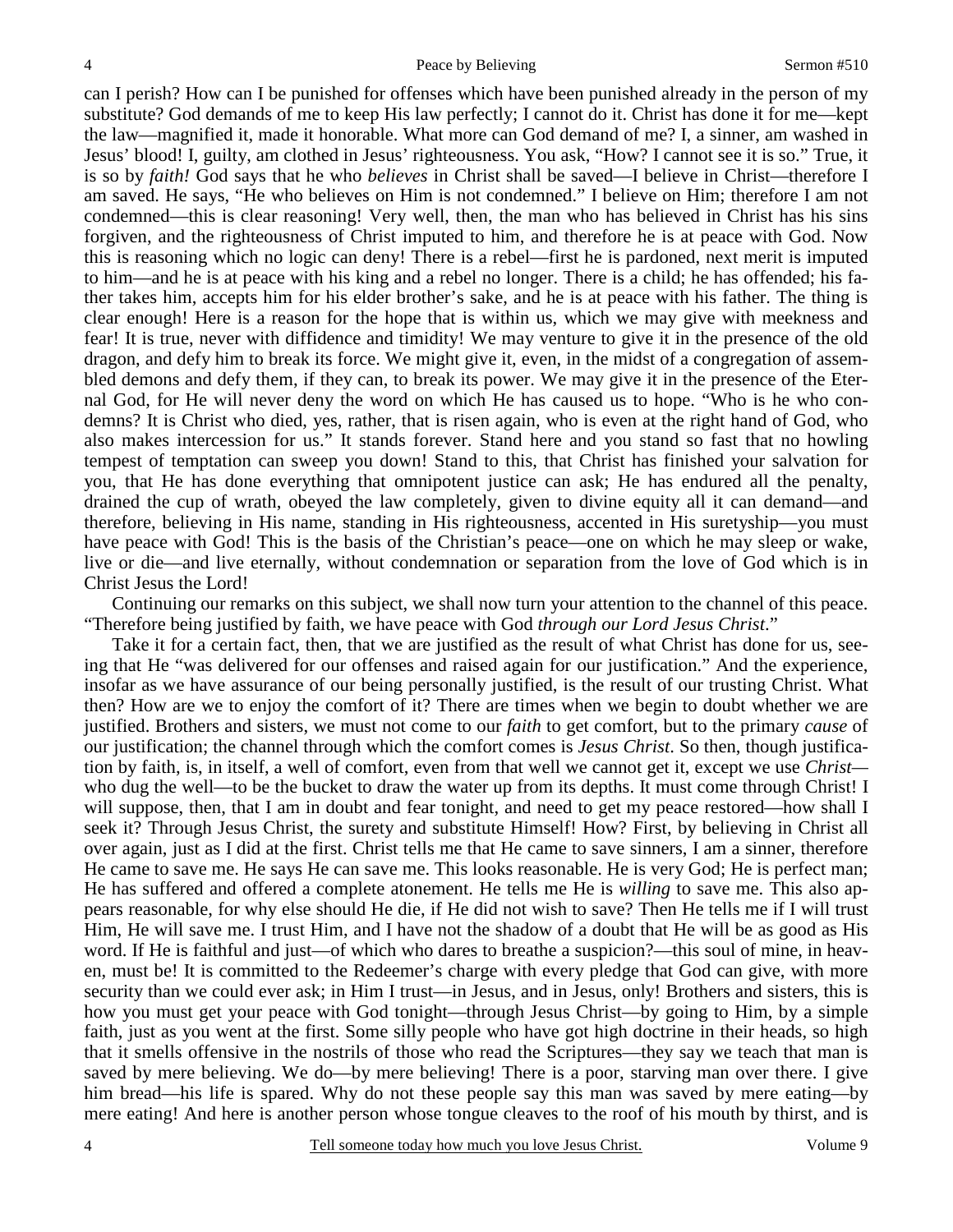can I perish? How can I be punished for offenses which have been punished already in the person of my substitute? God demands of me to keep His law perfectly; I cannot do it. Christ has done it for me—kept the law—magnified it, made it honorable. What more can God demand of me? I, a sinner, am washed in Jesus' blood! I, guilty, am clothed in Jesus' righteousness. You ask, "How? I cannot see it is so." True, it is so by *faith!* God says that he who *believes* in Christ shall be saved—I believe in Christ—therefore I am saved. He says, "He who believes on Him is not condemned." I believe on Him; therefore I am not condemned—this is clear reasoning! Very well, then, the man who has believed in Christ has his sins forgiven, and the righteousness of Christ imputed to him, and therefore he is at peace with God. Now this is reasoning which no logic can deny! There is a rebel—first he is pardoned, next merit is imputed to him—and he is at peace with his king and a rebel no longer. There is a child; he has offended; his father takes him, accepts him for his elder brother's sake, and he is at peace with his father. The thing is clear enough! Here is a reason for the hope that is within us, which we may give with meekness and fear! It is true, never with diffidence and timidity! We may venture to give it in the presence of the old dragon, and defy him to break its force. We might give it, even, in the midst of a congregation of assembled demons and defy them, if they can, to break its power. We may give it in the presence of the Eternal God, for He will never deny the word on which He has caused us to hope. "Who is he who condemns? It is Christ who died, yes, rather, that is risen again, who is even at the right hand of God, who also makes intercession for us." It stands forever. Stand here and you stand so fast that no howling tempest of temptation can sweep you down! Stand to this, that Christ has finished your salvation for you, that He has done everything that omnipotent justice can ask; He has endured all the penalty, drained the cup of wrath, obeyed the law completely, given to divine equity all it can demand—and therefore, believing in His name, standing in His righteousness, accented in His suretyship—you must have peace with God! This is the basis of the Christian's peace—one on which he may sleep or wake, live or die—and live eternally, without condemnation or separation from the love of God which is in Christ Jesus the Lord!

Continuing our remarks on this subject, we shall now turn your attention to the channel of this peace. "Therefore being justified by faith, we have peace with God *through our Lord Jesus Christ*."

Take it for a certain fact, then, that we are justified as the result of what Christ has done for us, seeing that He "was delivered for our offenses and raised again for our justification." And the experience, insofar as we have assurance of our being personally justified, is the result of our trusting Christ. What then? How are we to enjoy the comfort of it? There are times when we begin to doubt whether we are justified. Brothers and sisters, we must not come to our *faith* to get comfort, but to the primary *cause* of our justification; the channel through which the comfort comes is *Jesus Christ*. So then, though justification by faith, is, in itself, a well of comfort, even from that well we cannot get it, except we use *Christ* who dug the well—to be the bucket to draw the water up from its depths. It must come through Christ! I will suppose, then, that I am in doubt and fear tonight, and need to get my peace restored—how shall I seek it? Through Jesus Christ, the surety and substitute Himself! How? First, by believing in Christ all over again, just as I did at the first. Christ tells me that He came to save sinners, I am a sinner, therefore He came to save me. He says He can save me. This looks reasonable. He is very God; He is perfect man; He has suffered and offered a complete atonement. He tells me He is *willing* to save me. This also appears reasonable, for why else should He die, if He did not wish to save? Then He tells me if I will trust Him, He will save me. I trust Him, and I have not the shadow of a doubt that He will be as good as His word. If He is faithful and just—of which who dares to breathe a suspicion?—this soul of mine, in heaven, must be! It is committed to the Redeemer's charge with every pledge that God can give, with more security than we could ever ask; in Him I trust—in Jesus, and in Jesus, only! Brothers and sisters, this is how you must get your peace with God tonight—through Jesus Christ—by going to Him, by a simple faith, just as you went at the first. Some silly people who have got high doctrine in their heads, so high that it smells offensive in the nostrils of those who read the Scriptures—they say we teach that man is saved by mere believing. We do—by mere believing! There is a poor, starving man over there. I give him bread—his life is spared. Why do not these people say this man was saved by mere eating—by mere eating! And here is another person whose tongue cleaves to the roof of his mouth by thirst, and is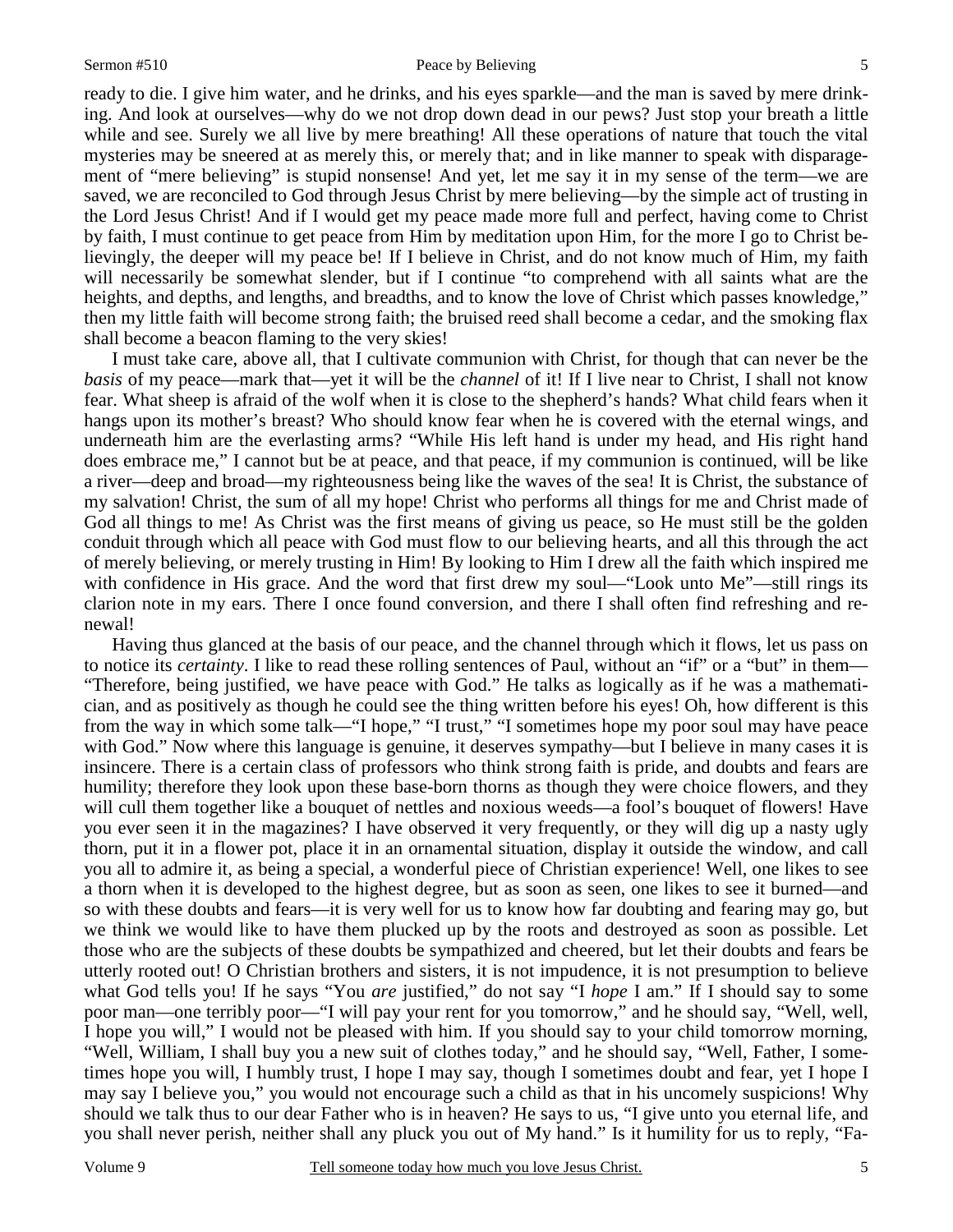#### Sermon #510 Peace by Believing

ready to die. I give him water, and he drinks, and his eyes sparkle—and the man is saved by mere drinking. And look at ourselves—why do we not drop down dead in our pews? Just stop your breath a little while and see. Surely we all live by mere breathing! All these operations of nature that touch the vital mysteries may be sneered at as merely this, or merely that; and in like manner to speak with disparagement of "mere believing" is stupid nonsense! And yet, let me say it in my sense of the term—we are saved, we are reconciled to God through Jesus Christ by mere believing—by the simple act of trusting in the Lord Jesus Christ! And if I would get my peace made more full and perfect, having come to Christ by faith, I must continue to get peace from Him by meditation upon Him, for the more I go to Christ believingly, the deeper will my peace be! If I believe in Christ, and do not know much of Him, my faith will necessarily be somewhat slender, but if I continue "to comprehend with all saints what are the heights, and depths, and lengths, and breadths, and to know the love of Christ which passes knowledge," then my little faith will become strong faith; the bruised reed shall become a cedar, and the smoking flax shall become a beacon flaming to the very skies!

I must take care, above all, that I cultivate communion with Christ, for though that can never be the *basis* of my peace—mark that—yet it will be the *channel* of it! If I live near to Christ, I shall not know fear. What sheep is afraid of the wolf when it is close to the shepherd's hands? What child fears when it hangs upon its mother's breast? Who should know fear when he is covered with the eternal wings, and underneath him are the everlasting arms? "While His left hand is under my head, and His right hand does embrace me," I cannot but be at peace, and that peace, if my communion is continued, will be like a river—deep and broad—my righteousness being like the waves of the sea! It is Christ, the substance of my salvation! Christ, the sum of all my hope! Christ who performs all things for me and Christ made of God all things to me! As Christ was the first means of giving us peace, so He must still be the golden conduit through which all peace with God must flow to our believing hearts, and all this through the act of merely believing, or merely trusting in Him! By looking to Him I drew all the faith which inspired me with confidence in His grace. And the word that first drew my soul—"Look unto Me"—still rings its clarion note in my ears. There I once found conversion, and there I shall often find refreshing and renewal!

Having thus glanced at the basis of our peace, and the channel through which it flows, let us pass on to notice its *certainty*. I like to read these rolling sentences of Paul, without an "if" or a "but" in them— "Therefore, being justified, we have peace with God." He talks as logically as if he was a mathematician, and as positively as though he could see the thing written before his eyes! Oh, how different is this from the way in which some talk—"I hope," "I trust," "I sometimes hope my poor soul may have peace with God." Now where this language is genuine, it deserves sympathy—but I believe in many cases it is insincere. There is a certain class of professors who think strong faith is pride, and doubts and fears are humility; therefore they look upon these base-born thorns as though they were choice flowers, and they will cull them together like a bouquet of nettles and noxious weeds—a fool's bouquet of flowers! Have you ever seen it in the magazines? I have observed it very frequently, or they will dig up a nasty ugly thorn, put it in a flower pot, place it in an ornamental situation, display it outside the window, and call you all to admire it, as being a special, a wonderful piece of Christian experience! Well, one likes to see a thorn when it is developed to the highest degree, but as soon as seen, one likes to see it burned—and so with these doubts and fears—it is very well for us to know how far doubting and fearing may go, but we think we would like to have them plucked up by the roots and destroyed as soon as possible. Let those who are the subjects of these doubts be sympathized and cheered, but let their doubts and fears be utterly rooted out! O Christian brothers and sisters, it is not impudence, it is not presumption to believe what God tells you! If he says "You *are* justified," do not say "I *hope* I am." If I should say to some poor man—one terribly poor—"I will pay your rent for you tomorrow," and he should say, "Well, well, I hope you will," I would not be pleased with him. If you should say to your child tomorrow morning, "Well, William, I shall buy you a new suit of clothes today," and he should say, "Well, Father, I sometimes hope you will, I humbly trust, I hope I may say, though I sometimes doubt and fear, yet I hope I may say I believe you," you would not encourage such a child as that in his uncomely suspicions! Why should we talk thus to our dear Father who is in heaven? He says to us, "I give unto you eternal life, and you shall never perish, neither shall any pluck you out of My hand." Is it humility for us to reply, "Fa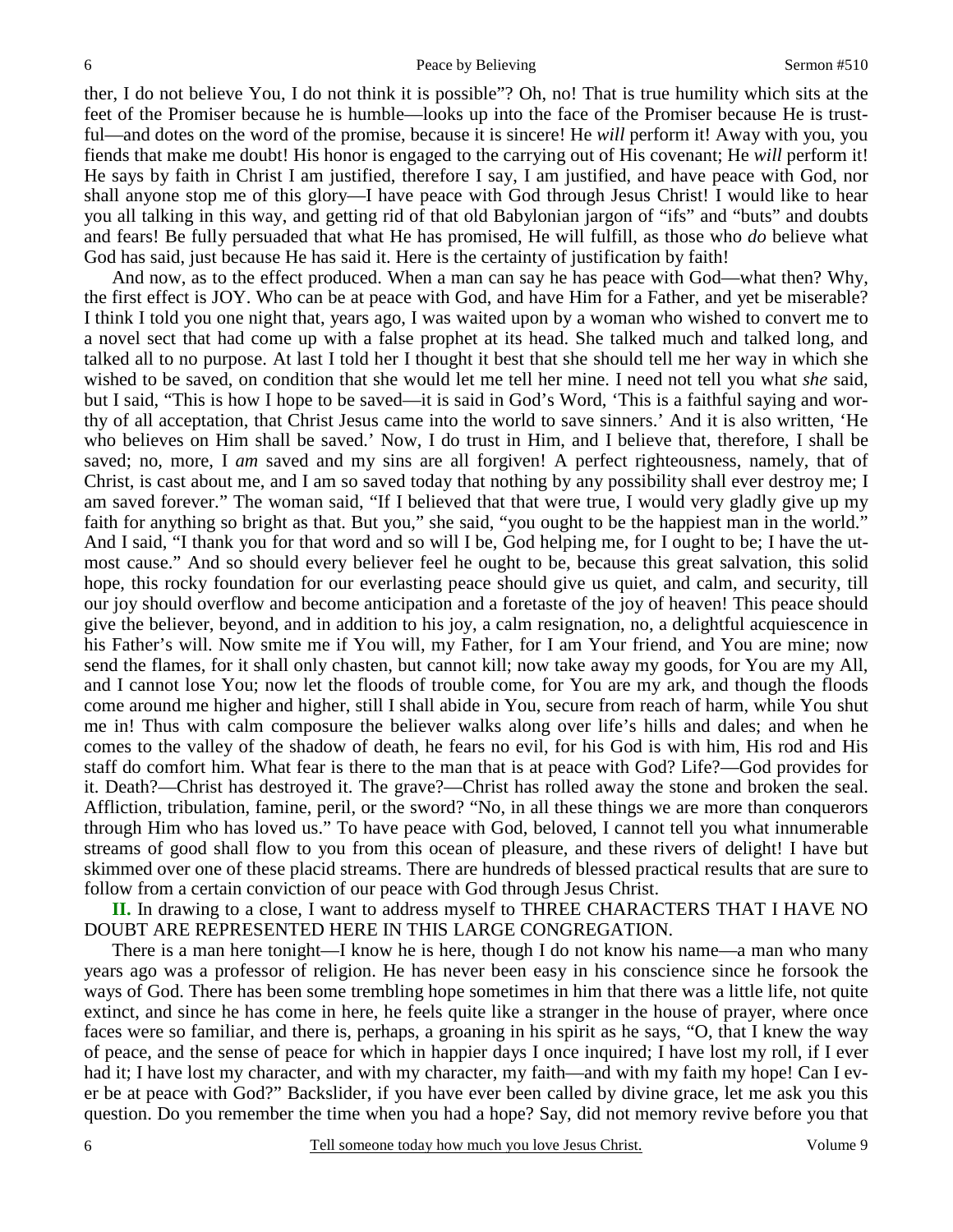ther, I do not believe You, I do not think it is possible"? Oh, no! That is true humility which sits at the feet of the Promiser because he is humble—looks up into the face of the Promiser because He is trustful—and dotes on the word of the promise, because it is sincere! He *will* perform it! Away with you, you fiends that make me doubt! His honor is engaged to the carrying out of His covenant; He *will* perform it! He says by faith in Christ I am justified, therefore I say, I am justified, and have peace with God, nor shall anyone stop me of this glory—I have peace with God through Jesus Christ! I would like to hear you all talking in this way, and getting rid of that old Babylonian jargon of "ifs" and "buts" and doubts and fears! Be fully persuaded that what He has promised, He will fulfill, as those who *do* believe what God has said, just because He has said it. Here is the certainty of justification by faith!

And now, as to the effect produced. When a man can say he has peace with God—what then? Why, the first effect is JOY. Who can be at peace with God, and have Him for a Father, and yet be miserable? I think I told you one night that, years ago, I was waited upon by a woman who wished to convert me to a novel sect that had come up with a false prophet at its head. She talked much and talked long, and talked all to no purpose. At last I told her I thought it best that she should tell me her way in which she wished to be saved, on condition that she would let me tell her mine. I need not tell you what *she* said, but I said, "This is how I hope to be saved—it is said in God's Word, 'This is a faithful saying and worthy of all acceptation, that Christ Jesus came into the world to save sinners.' And it is also written, 'He who believes on Him shall be saved.' Now, I do trust in Him, and I believe that, therefore, I shall be saved; no, more, I *am* saved and my sins are all forgiven! A perfect righteousness, namely, that of Christ, is cast about me, and I am so saved today that nothing by any possibility shall ever destroy me; I am saved forever." The woman said, "If I believed that that were true, I would very gladly give up my faith for anything so bright as that. But you," she said, "you ought to be the happiest man in the world." And I said, "I thank you for that word and so will I be, God helping me, for I ought to be; I have the utmost cause." And so should every believer feel he ought to be, because this great salvation, this solid hope, this rocky foundation for our everlasting peace should give us quiet, and calm, and security, till our joy should overflow and become anticipation and a foretaste of the joy of heaven! This peace should give the believer, beyond, and in addition to his joy, a calm resignation, no, a delightful acquiescence in his Father's will. Now smite me if You will, my Father, for I am Your friend, and You are mine; now send the flames, for it shall only chasten, but cannot kill; now take away my goods, for You are my All, and I cannot lose You; now let the floods of trouble come, for You are my ark, and though the floods come around me higher and higher, still I shall abide in You, secure from reach of harm, while You shut me in! Thus with calm composure the believer walks along over life's hills and dales; and when he comes to the valley of the shadow of death, he fears no evil, for his God is with him, His rod and His staff do comfort him. What fear is there to the man that is at peace with God? Life?—God provides for it. Death?—Christ has destroyed it. The grave?—Christ has rolled away the stone and broken the seal. Affliction, tribulation, famine, peril, or the sword? "No, in all these things we are more than conquerors through Him who has loved us." To have peace with God, beloved, I cannot tell you what innumerable streams of good shall flow to you from this ocean of pleasure, and these rivers of delight! I have but skimmed over one of these placid streams. There are hundreds of blessed practical results that are sure to follow from a certain conviction of our peace with God through Jesus Christ.

**II.** In drawing to a close, I want to address myself to THREE CHARACTERS THAT I HAVE NO DOUBT ARE REPRESENTED HERE IN THIS LARGE CONGREGATION.

There is a man here tonight—I know he is here, though I do not know his name—a man who many years ago was a professor of religion. He has never been easy in his conscience since he forsook the ways of God. There has been some trembling hope sometimes in him that there was a little life, not quite extinct, and since he has come in here, he feels quite like a stranger in the house of prayer, where once faces were so familiar, and there is, perhaps, a groaning in his spirit as he says, "O, that I knew the way of peace, and the sense of peace for which in happier days I once inquired; I have lost my roll, if I ever had it; I have lost my character, and with my character, my faith—and with my faith my hope! Can I ever be at peace with God?" Backslider, if you have ever been called by divine grace, let me ask you this question. Do you remember the time when you had a hope? Say, did not memory revive before you that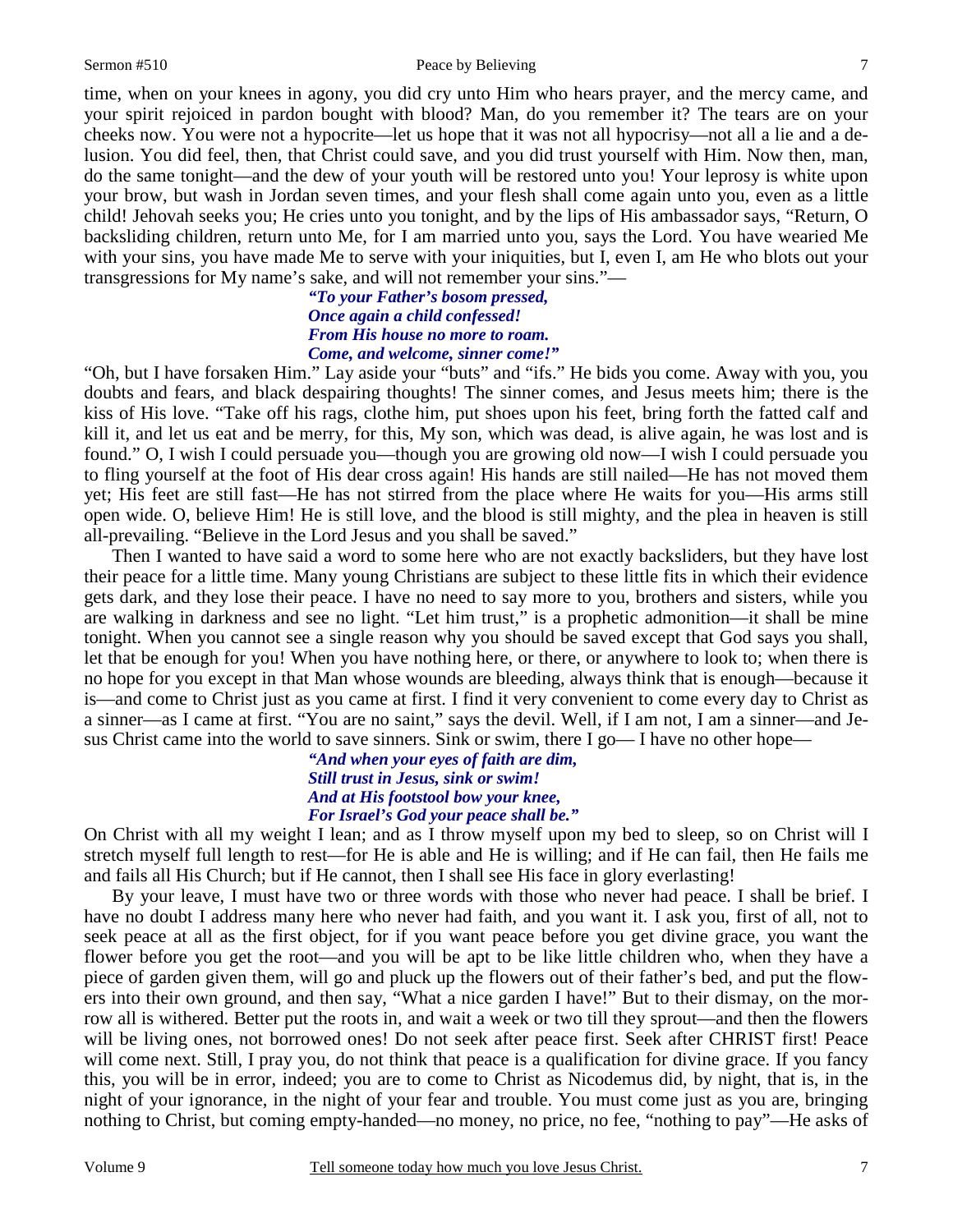#### Sermon #510 Peace by Believing

time, when on your knees in agony, you did cry unto Him who hears prayer, and the mercy came, and your spirit rejoiced in pardon bought with blood? Man, do you remember it? The tears are on your cheeks now. You were not a hypocrite—let us hope that it was not all hypocrisy—not all a lie and a delusion. You did feel, then, that Christ could save, and you did trust yourself with Him. Now then, man, do the same tonight—and the dew of your youth will be restored unto you! Your leprosy is white upon your brow, but wash in Jordan seven times, and your flesh shall come again unto you, even as a little child! Jehovah seeks you; He cries unto you tonight, and by the lips of His ambassador says, "Return, O backsliding children, return unto Me, for I am married unto you, says the Lord. You have wearied Me with your sins, you have made Me to serve with your iniquities, but I, even I, am He who blots out your transgressions for My name's sake, and will not remember your sins."—

> *"To your Father's bosom pressed, Once again a child confessed! From His house no more to roam. Come, and welcome, sinner come!"*

"Oh, but I have forsaken Him." Lay aside your "buts" and "ifs." He bids you come. Away with you, you doubts and fears, and black despairing thoughts! The sinner comes, and Jesus meets him; there is the kiss of His love. "Take off his rags, clothe him, put shoes upon his feet, bring forth the fatted calf and kill it, and let us eat and be merry, for this, My son, which was dead, is alive again, he was lost and is found." O, I wish I could persuade you—though you are growing old now—I wish I could persuade you to fling yourself at the foot of His dear cross again! His hands are still nailed—He has not moved them yet; His feet are still fast—He has not stirred from the place where He waits for you—His arms still open wide. O, believe Him! He is still love, and the blood is still mighty, and the plea in heaven is still all-prevailing. "Believe in the Lord Jesus and you shall be saved."

Then I wanted to have said a word to some here who are not exactly backsliders, but they have lost their peace for a little time. Many young Christians are subject to these little fits in which their evidence gets dark, and they lose their peace. I have no need to say more to you, brothers and sisters, while you are walking in darkness and see no light. "Let him trust," is a prophetic admonition—it shall be mine tonight. When you cannot see a single reason why you should be saved except that God says you shall, let that be enough for you! When you have nothing here, or there, or anywhere to look to; when there is no hope for you except in that Man whose wounds are bleeding, always think that is enough—because it is—and come to Christ just as you came at first. I find it very convenient to come every day to Christ as a sinner—as I came at first. "You are no saint," says the devil. Well, if I am not, I am a sinner—and Jesus Christ came into the world to save sinners. Sink or swim, there I go— I have no other hope—

> *"And when your eyes of faith are dim, Still trust in Jesus, sink or swim! And at His footstool bow your knee, For Israel's God your peace shall be."*

On Christ with all my weight I lean; and as I throw myself upon my bed to sleep, so on Christ will I stretch myself full length to rest—for He is able and He is willing; and if He can fail, then He fails me and fails all His Church; but if He cannot, then I shall see His face in glory everlasting!

By your leave, I must have two or three words with those who never had peace. I shall be brief. I have no doubt I address many here who never had faith, and you want it. I ask you, first of all, not to seek peace at all as the first object, for if you want peace before you get divine grace, you want the flower before you get the root—and you will be apt to be like little children who, when they have a piece of garden given them, will go and pluck up the flowers out of their father's bed, and put the flowers into their own ground, and then say, "What a nice garden I have!" But to their dismay, on the morrow all is withered. Better put the roots in, and wait a week or two till they sprout—and then the flowers will be living ones, not borrowed ones! Do not seek after peace first. Seek after CHRIST first! Peace will come next. Still, I pray you, do not think that peace is a qualification for divine grace. If you fancy this, you will be in error, indeed; you are to come to Christ as Nicodemus did, by night, that is, in the night of your ignorance, in the night of your fear and trouble. You must come just as you are, bringing nothing to Christ, but coming empty-handed—no money, no price, no fee, "nothing to pay"—He asks of

7